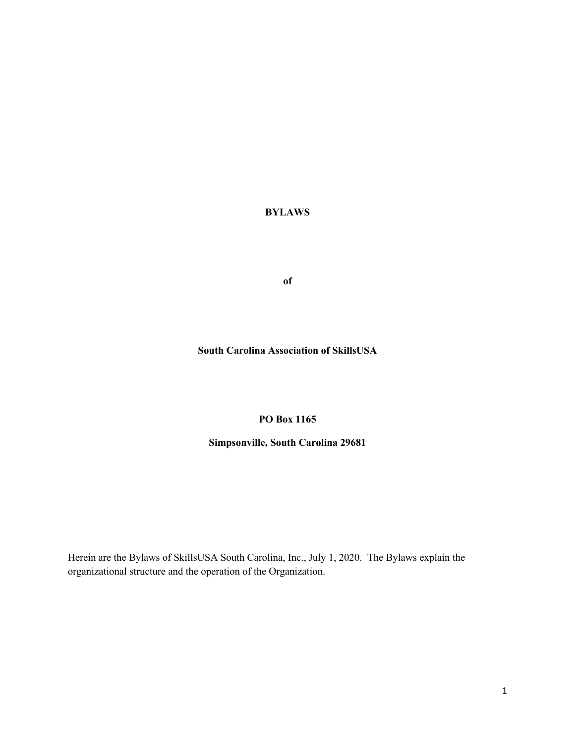**BYLAWS**

**of**

**South Carolina Association of SkillsUSA**

#### **PO Box 1165**

#### **Simpsonville, South Carolina 29681**

Herein are the Bylaws of SkillsUSA South Carolina, Inc., July 1, 2020. The Bylaws explain the organizational structure and the operation of the Organization.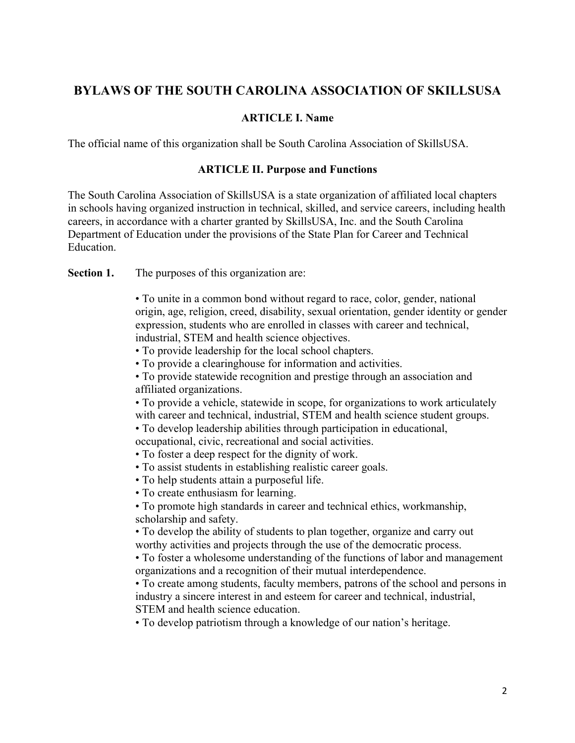# **BYLAWS OF THE SOUTH CAROLINA ASSOCIATION OF SKILLSUSA**

## **ARTICLE I. Name**

The official name of this organization shall be South Carolina Association of SkillsUSA.

#### **ARTICLE II. Purpose and Functions**

The South Carolina Association of SkillsUSA is a state organization of affiliated local chapters in schools having organized instruction in technical, skilled, and service careers, including health careers, in accordance with a charter granted by SkillsUSA, Inc. and the South Carolina Department of Education under the provisions of the State Plan for Career and Technical Education.

Section 1. The purposes of this organization are:

• To unite in a common bond without regard to race, color, gender, national origin, age, religion, creed, disability, sexual orientation, gender identity or gender expression, students who are enrolled in classes with career and technical, industrial, STEM and health science objectives.

- To provide leadership for the local school chapters.
- To provide a clearinghouse for information and activities.

• To provide statewide recognition and prestige through an association and affiliated organizations.

• To provide a vehicle, statewide in scope, for organizations to work articulately with career and technical, industrial, STEM and health science student groups.

• To develop leadership abilities through participation in educational, occupational, civic, recreational and social activities.

- To foster a deep respect for the dignity of work.
- To assist students in establishing realistic career goals.
- To help students attain a purposeful life.
- To create enthusiasm for learning.

• To promote high standards in career and technical ethics, workmanship, scholarship and safety.

• To develop the ability of students to plan together, organize and carry out worthy activities and projects through the use of the democratic process.

• To foster a wholesome understanding of the functions of labor and management organizations and a recognition of their mutual interdependence.

• To create among students, faculty members, patrons of the school and persons in industry a sincere interest in and esteem for career and technical, industrial, STEM and health science education.

• To develop patriotism through a knowledge of our nation's heritage.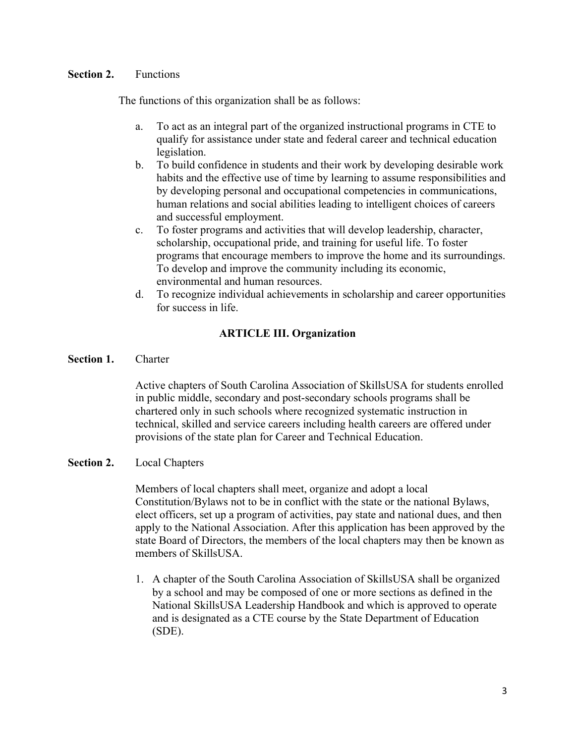### **Section 2.** Functions

The functions of this organization shall be as follows:

- a. To act as an integral part of the organized instructional programs in CTE to qualify for assistance under state and federal career and technical education legislation.
- b. To build confidence in students and their work by developing desirable work habits and the effective use of time by learning to assume responsibilities and by developing personal and occupational competencies in communications, human relations and social abilities leading to intelligent choices of careers and successful employment.
- c. To foster programs and activities that will develop leadership, character, scholarship, occupational pride, and training for useful life. To foster programs that encourage members to improve the home and its surroundings. To develop and improve the community including its economic, environmental and human resources.
- d. To recognize individual achievements in scholarship and career opportunities for success in life.

# **ARTICLE III. Organization**

**Section 1.** Charter

Active chapters of South Carolina Association of SkillsUSA for students enrolled in public middle, secondary and post-secondary schools programs shall be chartered only in such schools where recognized systematic instruction in technical, skilled and service careers including health careers are offered under provisions of the state plan for Career and Technical Education.

### **Section 2.** Local Chapters

Members of local chapters shall meet, organize and adopt a local Constitution/Bylaws not to be in conflict with the state or the national Bylaws, elect officers, set up a program of activities, pay state and national dues, and then apply to the National Association. After this application has been approved by the state Board of Directors, the members of the local chapters may then be known as members of SkillsUSA.

1. A chapter of the South Carolina Association of SkillsUSA shall be organized by a school and may be composed of one or more sections as defined in the National SkillsUSA Leadership Handbook and which is approved to operate and is designated as a CTE course by the State Department of Education (SDE).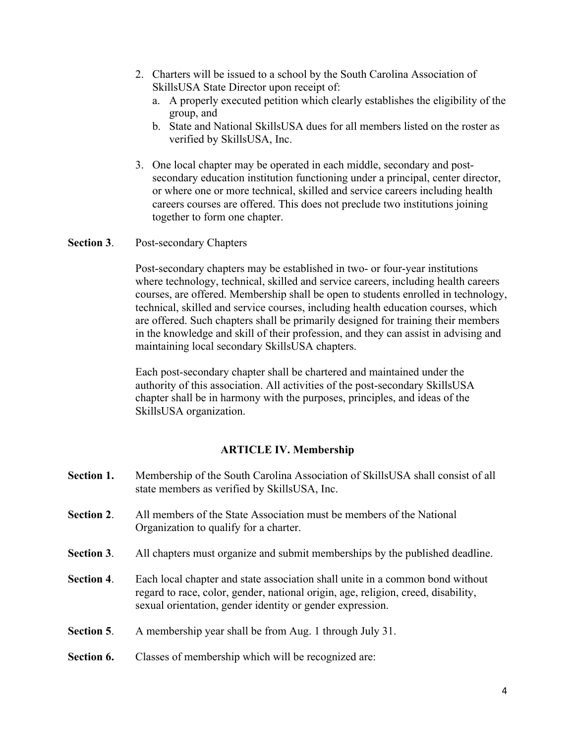- 2. Charters will be issued to a school by the South Carolina Association of SkillsUSA State Director upon receipt of:
	- a. A properly executed petition which clearly establishes the eligibility of the group, and
	- b. State and National SkillsUSA dues for all members listed on the roster as verified by SkillsUSA, Inc.
- 3. One local chapter may be operated in each middle, secondary and postsecondary education institution functioning under a principal, center director, or where one or more technical, skilled and service careers including health careers courses are offered. This does not preclude two institutions joining together to form one chapter.

**Section 3**. Post-secondary Chapters

Post-secondary chapters may be established in two- or four-year institutions where technology, technical, skilled and service careers, including health careers courses, are offered. Membership shall be open to students enrolled in technology, technical, skilled and service courses, including health education courses, which are offered. Such chapters shall be primarily designed for training their members in the knowledge and skill of their profession, and they can assist in advising and maintaining local secondary SkillsUSA chapters.

Each post-secondary chapter shall be chartered and maintained under the authority of this association. All activities of the post-secondary SkillsUSA chapter shall be in harmony with the purposes, principles, and ideas of the SkillsUSA organization.

# **ARTICLE IV. Membership**

| Section 1. | Membership of the South Carolina Association of SkillsUSA shall consist of all<br>state members as verified by SkillsUSA, Inc.                                                                                                  |
|------------|---------------------------------------------------------------------------------------------------------------------------------------------------------------------------------------------------------------------------------|
| Section 2. | All members of the State Association must be members of the National<br>Organization to qualify for a charter.                                                                                                                  |
| Section 3. | All chapters must organize and submit memberships by the published deadline.                                                                                                                                                    |
| Section 4. | Each local chapter and state association shall unite in a common bond without<br>regard to race, color, gender, national origin, age, religion, creed, disability,<br>sexual orientation, gender identity or gender expression. |
| Section 5. | A membership year shall be from Aug. 1 through July 31.                                                                                                                                                                         |
| Section 6. | Classes of membership which will be recognized are:                                                                                                                                                                             |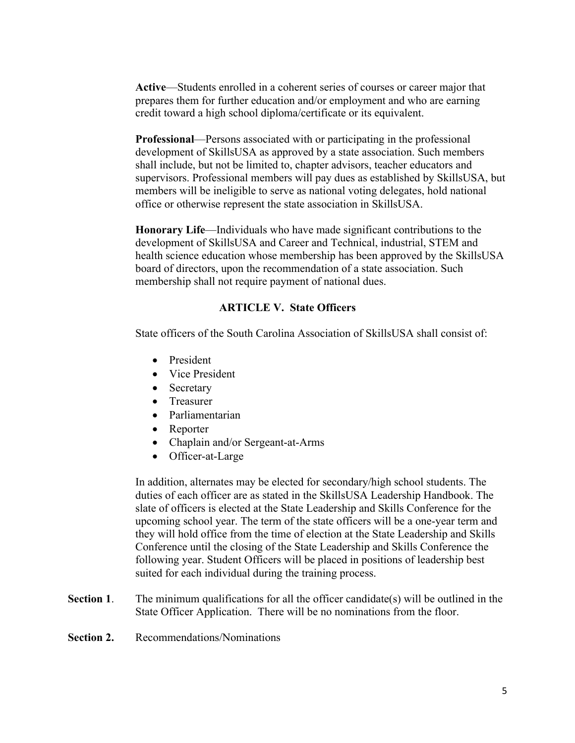**Active**—Students enrolled in a coherent series of courses or career major that prepares them for further education and/or employment and who are earning credit toward a high school diploma/certificate or its equivalent.

**Professional**—Persons associated with or participating in the professional development of SkillsUSA as approved by a state association. Such members shall include, but not be limited to, chapter advisors, teacher educators and supervisors. Professional members will pay dues as established by SkillsUSA, but members will be ineligible to serve as national voting delegates, hold national office or otherwise represent the state association in SkillsUSA.

**Honorary Life**—Individuals who have made significant contributions to the development of SkillsUSA and Career and Technical, industrial, STEM and health science education whose membership has been approved by the SkillsUSA board of directors, upon the recommendation of a state association. Such membership shall not require payment of national dues.

# **ARTICLE V. State Officers**

State officers of the South Carolina Association of SkillsUSA shall consist of:

- President
- Vice President
- Secretary
- Treasurer
- Parliamentarian
- Reporter
- Chaplain and/or Sergeant-at-Arms
- Officer-at-Large

In addition, alternates may be elected for secondary/high school students. The duties of each officer are as stated in the SkillsUSA Leadership Handbook. The slate of officers is elected at the State Leadership and Skills Conference for the upcoming school year. The term of the state officers will be a one-year term and they will hold office from the time of election at the State Leadership and Skills Conference until the closing of the State Leadership and Skills Conference the following year. Student Officers will be placed in positions of leadership best suited for each individual during the training process.

- **Section 1.** The minimum qualifications for all the officer candidate(s) will be outlined in the State Officer Application. There will be no nominations from the floor.
- **Section 2.** Recommendations/Nominations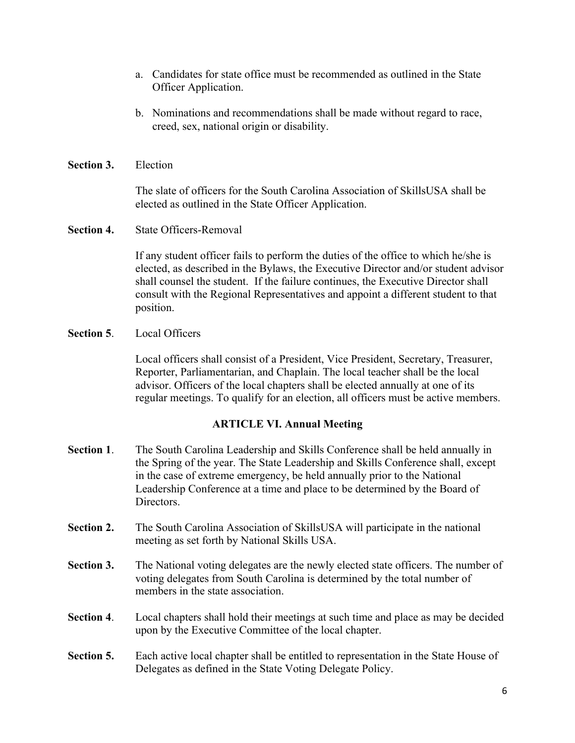- a. Candidates for state office must be recommended as outlined in the State Officer Application.
- b. Nominations and recommendations shall be made without regard to race, creed, sex, national origin or disability.
- **Section 3.** Election

The slate of officers for the South Carolina Association of SkillsUSA shall be elected as outlined in the State Officer Application.

**Section 4.** State Officers-Removal

If any student officer fails to perform the duties of the office to which he/she is elected, as described in the Bylaws, the Executive Director and/or student advisor shall counsel the student. If the failure continues, the Executive Director shall consult with the Regional Representatives and appoint a different student to that position.

**Section 5**. Local Officers

Local officers shall consist of a President, Vice President, Secretary, Treasurer, Reporter, Parliamentarian, and Chaplain. The local teacher shall be the local advisor. Officers of the local chapters shall be elected annually at one of its regular meetings. To qualify for an election, all officers must be active members.

# **ARTICLE VI. Annual Meeting**

- **Section 1**. The South Carolina Leadership and Skills Conference shall be held annually in the Spring of the year. The State Leadership and Skills Conference shall, except in the case of extreme emergency, be held annually prior to the National Leadership Conference at a time and place to be determined by the Board of Directors.
- **Section 2.** The South Carolina Association of SkillsUSA will participate in the national meeting as set forth by National Skills USA.
- **Section 3.** The National voting delegates are the newly elected state officers. The number of voting delegates from South Carolina is determined by the total number of members in the state association.
- **Section 4**. Local chapters shall hold their meetings at such time and place as may be decided upon by the Executive Committee of the local chapter.
- **Section 5.** Each active local chapter shall be entitled to representation in the State House of Delegates as defined in the State Voting Delegate Policy.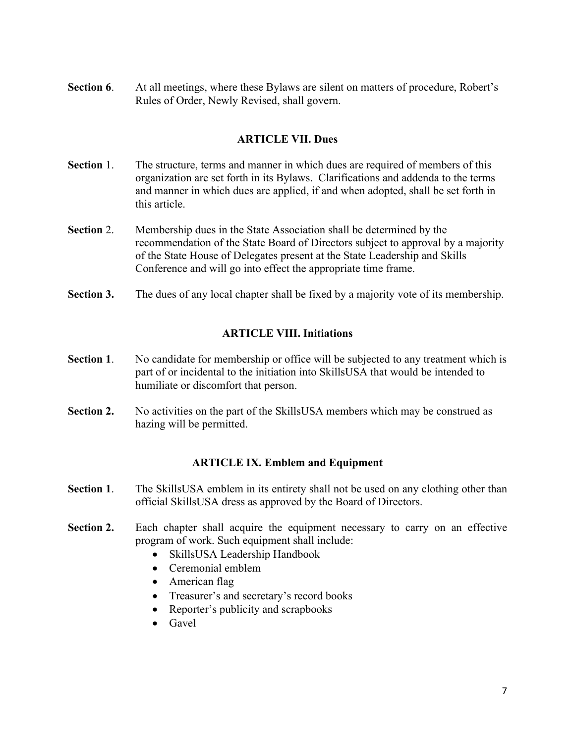**Section 6.** At all meetings, where these Bylaws are silent on matters of procedure, Robert's Rules of Order, Newly Revised, shall govern.

# **ARTICLE VII. Dues**

- **Section** 1. The structure, terms and manner in which dues are required of members of this organization are set forth in its Bylaws. Clarifications and addenda to the terms and manner in which dues are applied, if and when adopted, shall be set forth in this article.
- **Section** 2. Membership dues in the State Association shall be determined by the recommendation of the State Board of Directors subject to approval by a majority of the State House of Delegates present at the State Leadership and Skills Conference and will go into effect the appropriate time frame.
- **Section 3.** The dues of any local chapter shall be fixed by a majority vote of its membership.

# **ARTICLE VIII. Initiations**

- **Section 1.** No candidate for membership or office will be subjected to any treatment which is part of or incidental to the initiation into SkillsUSA that would be intended to humiliate or discomfort that person.
- **Section 2.** No activities on the part of the SkillsUSA members which may be construed as hazing will be permitted.

### **ARTICLE IX. Emblem and Equipment**

- **Section 1**. The SkillsUSA emblem in its entirety shall not be used on any clothing other than official SkillsUSA dress as approved by the Board of Directors.
- **Section 2.** Each chapter shall acquire the equipment necessary to carry on an effective program of work. Such equipment shall include:
	- SkillsUSA Leadership Handbook
	- Ceremonial emblem
	- American flag
	- Treasurer's and secretary's record books
	- Reporter's publicity and scrapbooks
	- Gavel